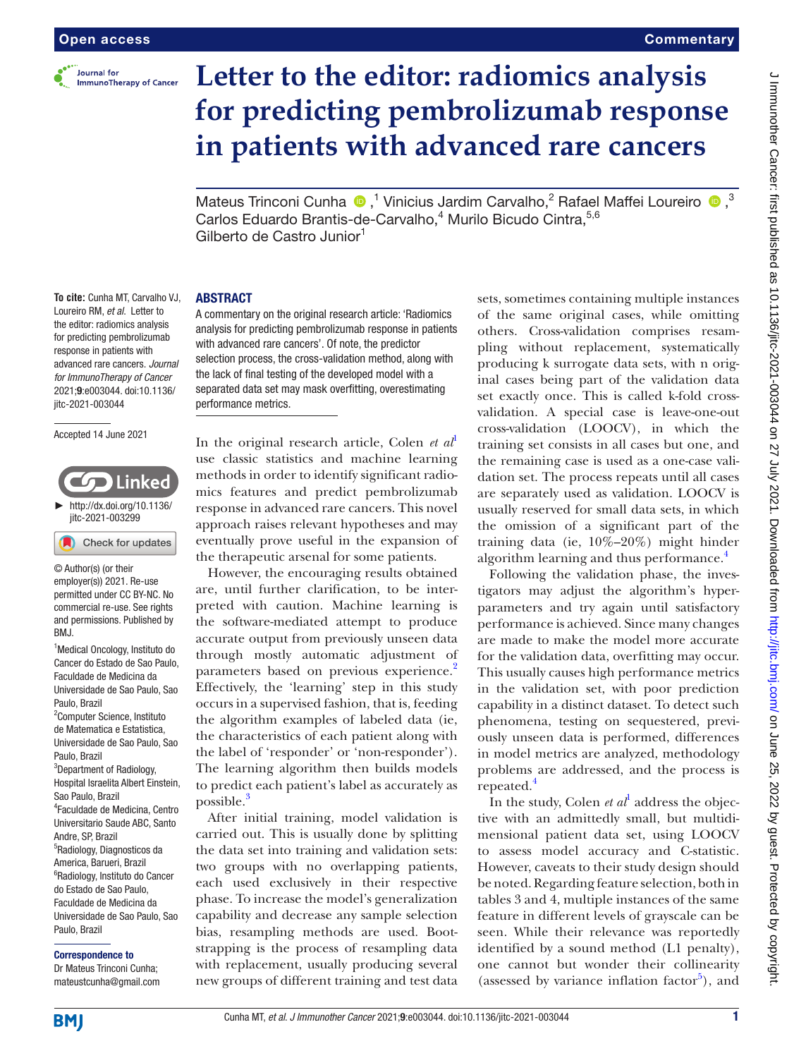

### **Commentary**

# **Letter to the editor: radiomics analysis for predicting pembrolizumab response in patients with advanced rare cancers**

MateusTrinconi Cunha  $\bigcirc$ ,<sup>1</sup> Vinicius Jardim Carvalho,<sup>2</sup> Rafael Maffei Loureiro  $\bigcirc$ ,<sup>3</sup> Carlos Eduardo Brantis-de-Carvalho,<sup>4</sup> Murilo Bicudo Cintra, 5,6 Gilberto de Castro Junior<sup>1</sup>

### ABSTRACT

**To cite:** Cunha MT, Carvalho VJ, Loureiro RM, *et al*. Letter to the editor: radiomics analysis for predicting pembrolizumab response in patients with advanced rare cancers. *Journal for ImmunoTherapy of Cancer* 2021;9:e003044. doi:10.1136/ jitc-2021-003044

Accepted 14 June 2021

## Linked ► [http://dx.doi.org/10.1136/](http://​dx.​doi.​org/​10.​1136/jitc-2021-003299) [jitc-2021-003299](http://​dx.​doi.​org/​10.​1136/jitc-2021-003299) Check for updates

© Author(s) (or their employer(s)) 2021. Re-use permitted under CC BY-NC. No commercial re-use. See rights and permissions. Published by RM<sub>J</sub>

<sup>1</sup> Medical Oncology, Instituto do Cancer do Estado de Sao Paulo, Faculdade de Medicina da Universidade de Sao Paulo, Sao Paulo, Brazil 2 Computer Science, Instituto de Matematica e Estatistica, Universidade de Sao Paulo, Sao Paulo, Brazil <sup>3</sup>Department of Radiology, Hospital Israelita Albert Einstein, Sao Paulo, Brazil 4 Faculdade de Medicina, Centro Universitario Saude ABC, Santo Andre, SP, Brazil 5 Radiology, Diagnosticos da America, Barueri, Brazil 6 Radiology, Instituto do Cancer do Estado de Sao Paulo, Faculdade de Medicina da Universidade de Sao Paulo, Sao Paulo, Brazil

### Correspondence to

Dr Mateus Trinconi Cunha; mateustcunha@gmail.com analysis for predicting pembrolizumab response in patients with advanced rare cancers'. Of note, the predictor selection process, the cross-validation method, along with the lack of final testing of the developed model with a separated data set may mask overfitting, overestimating performance metrics.

A commentary on the original research article: 'Radiomics

In the original research article, Colen *et al*<sup>[1](#page-1-0)</sup> use classic statistics and machine learning methods in order to identify significant radiomics features and predict pembrolizumab response in advanced rare cancers. This novel approach raises relevant hypotheses and may eventually prove useful in the expansion of the therapeutic arsenal for some patients.

However, the encouraging results obtained are, until further clarification, to be interpreted with caution. Machine learning is the software-mediated attempt to produce accurate output from previously unseen data through mostly automatic adjustment of parameters based on previous experience.<sup>[2](#page-1-1)</sup> Effectively, the 'learning' step in this study occurs in a supervised fashion, that is, feeding the algorithm examples of labeled data (ie, the characteristics of each patient along with the label of 'responder' or 'non-responder'). The learning algorithm then builds models to predict each patient's label as accurately as possible.<sup>[3](#page-1-2)</sup>

After initial training, model validation is carried out. This is usually done by splitting the data set into training and validation sets: two groups with no overlapping patients, each used exclusively in their respective phase. To increase the model's generalization capability and decrease any sample selection bias, resampling methods are used. Bootstrapping is the process of resampling data with replacement, usually producing several new groups of different training and test data

sets, sometimes containing multiple instances of the same original cases, while omitting others. Cross-validation comprises resampling without replacement, systematically producing k surrogate data sets, with n original cases being part of the validation data set exactly once. This is called k-fold crossvalidation. A special case is leave-one-out cross-validation (LOOCV), in which the training set consists in all cases but one, and the remaining case is used as a one-case validation set. The process repeats until all cases are separately used as validation. LOOCV is usually reserved for small data sets, in which the omission of a significant part of the training data (ie, 10%–20%) might hinder algorithm learning and thus performance.<sup>4</sup>

Following the validation phase, the investigators may adjust the algorithm's hyperparameters and try again until satisfactory performance is achieved. Since many changes are made to make the model more accurate for the validation data, overfitting may occur. This usually causes high performance metrics in the validation set, with poor prediction capability in a distinct dataset. To detect such phenomena, testing on sequestered, previously unseen data is performed, differences in model metrics are analyzed, methodology problems are addressed, and the process is repeated.<sup>[4](#page-1-3)</sup>

In the study, Colen  $et al^1$  $et al^1$  address the objective with an admittedly small, but multidimensional patient data set, using LOOCV to assess model accuracy and C-statistic. However, caveats to their study design should be noted. Regarding feature selection, both in tables 3 and 4, multiple instances of the same feature in different levels of grayscale can be seen. While their relevance was reportedly identified by a sound method (L1 penalty), one cannot but wonder their collinearity (assessed by variance inflation factor<sup>[5](#page-1-4)</sup>), and